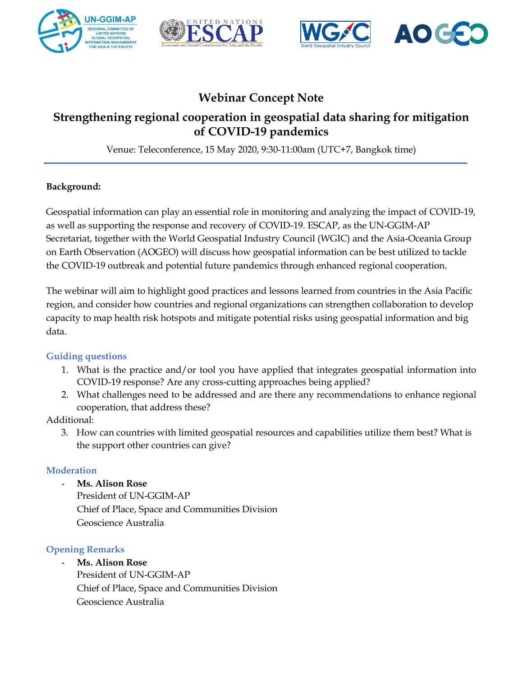





# **Webinar Concept Note**

# **Strengthening regional cooperation in geospatial data sharing for mitigation of COVID-19 pandemics**

Venue: Teleconference, 15 May 2020, 9:30-11:00am (UTC+7, Bangkok time)

## **Background:**

Geospatial information can play an essential role in monitoring and analyzing the impact of COVID-19, as well as supporting the response and recovery of COVID-19. ESCAP, as the UN-GGIM-AP Secretariat, together with the World Geospatial Industry Council (WGIC) and the Asia-Oceania Group on Earth Observation (AOGEO) will discuss how geospatial information can be best utilized to tackle the COVID-19 outbreak and potential future pandemics through enhanced regional cooperation.

The webinar will aim to highlight good practices and lessons learned from countries in the Asia Pacific region, and consider how countries and regional organizations can strengthen collaboration to develop capacity to map health risk hotspots and mitigate potential risks using geospatial information and big data.

## **Guiding questions**

- 1. What is the practice and/or tool you have applied that integrates geospatial information into COVID-19 response? Are any cross-cutting approaches being applied?
- 2. What challenges need to be addressed and are there any recommendations to enhance regional cooperation, that address these?

# Additional:

3. How can countries with limited geospatial resources and capabilities utilize them best? What is the support other countries can give?

## **Moderation**

- **Ms. Alison Rose**
	- President of UN-GGIM-AP Chief of Place, Space and Communities Division Geoscience Australia

# **Opening Remarks**

- **Ms. Alison Rose** President of UN-GGIM-AP Chief of Place, Space and Communities Division Geoscience Australia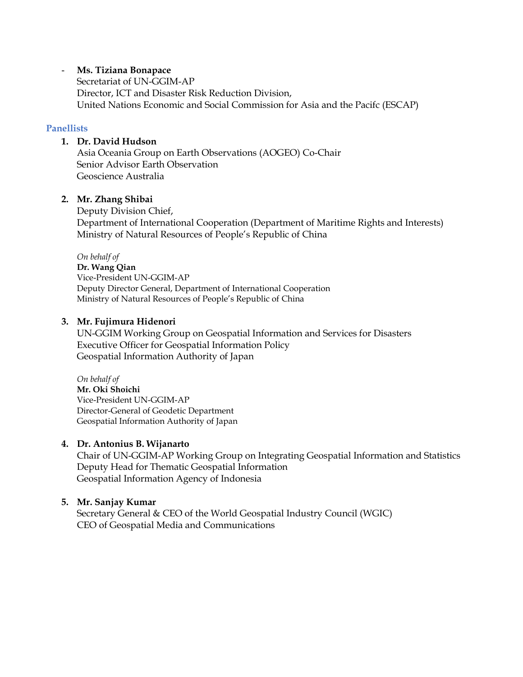#### - **Ms. Tiziana Bonapace**

Secretariat of UN-GGIM-AP Director, ICT and Disaster Risk Reduction Division, United Nations Economic and Social Commission for Asia and the Pacifc (ESCAP)

#### **Panellists**

#### **1. Dr. David Hudson**

Asia Oceania Group on Earth Observations (AOGEO) Co-Chair Senior Advisor Earth Observation Geoscience Australia

#### **2. Mr. Zhang Shibai**

Deputy Division Chief, Department of International Cooperation (Department of Maritime Rights and Interests) Ministry of Natural Resources of People's Republic of China

*On behalf of* **Dr. Wang Qian** Vice-President UN-GGIM-AP Deputy Director General, Department of International Cooperation Ministry of Natural Resources of People's Republic of China

#### **3. Mr. Fujimura Hidenori**

UN-GGIM Working Group on Geospatial Information and Services for Disasters Executive Officer for Geospatial Information Policy Geospatial Information Authority of Japan

*On behalf of* **Mr. Oki Shoichi** Vice-President UN-GGIM-AP Director-General of Geodetic Department Geospatial Information Authority of Japan

#### **4. Dr. Antonius B. Wijanarto**

Chair of UN-GGIM-AP Working Group on Integrating Geospatial Information and Statistics Deputy Head for Thematic Geospatial Information Geospatial Information Agency of Indonesia

#### **5. Mr. Sanjay Kumar**

Secretary General & CEO of the World Geospatial Industry Council (WGIC) CEO of Geospatial Media and Communications